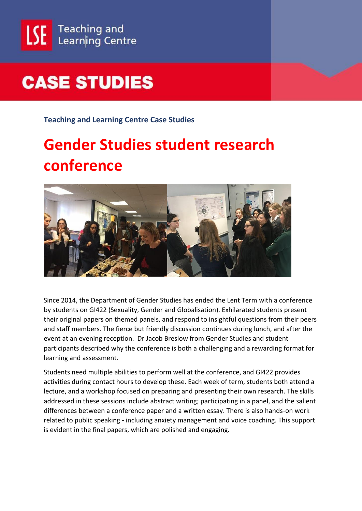

## **CASE STUDIES**

**Teaching and Learning Centre Case Studies**

## **Gender Studies student research conference**



Since 2014, the Department of Gender Studies has ended the Lent Term with a conference by students on GI422 (Sexuality, Gender and Globalisation). Exhilarated students present their original papers on themed panels, and respond to insightful questions from their peers and staff members. The fierce but friendly discussion continues during lunch, and after the event at an evening reception. Dr Jacob Breslow from Gender Studies and student participants described why the conference is both a challenging and a rewarding format for learning and assessment.

Students need multiple abilities to perform well at the conference, and GI422 provides activities during contact hours to develop these. Each week of term, students both attend a lecture, and a workshop focused on preparing and presenting their own research. The skills addressed in these sessions include abstract writing; participating in a panel, and the salient differences between a conference paper and a written essay. There is also hands-on work related to public speaking - including anxiety management and voice coaching. This support is evident in the final papers, which are polished and engaging.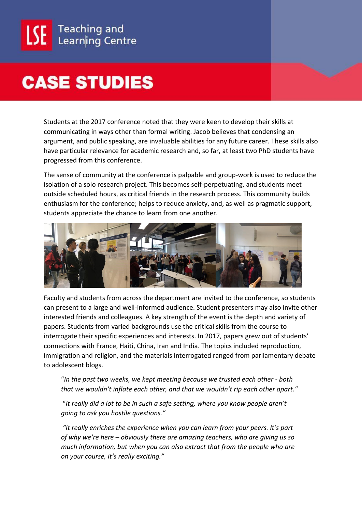## **CASE STUDIES**

Students at the 2017 conference noted that they were keen to develop their skills at communicating in ways other than formal writing. Jacob believes that condensing an argument, and public speaking, are invaluable abilities for any future career. These skills also have particular relevance for academic research and, so far, at least two PhD students have progressed from this conference.

The sense of community at the conference is palpable and group-work is used to reduce the isolation of a solo research project. This becomes self-perpetuating, and students meet outside scheduled hours, as critical friends in the research process. This community builds enthusiasm for the conference; helps to reduce anxiety, and, as well as pragmatic support, students appreciate the chance to learn from one another.



Faculty and students from across the department are invited to the conference, so students can present to a large and well-informed audience. Student presenters may also invite other interested friends and colleagues. A key strength of the event is the depth and variety of papers. Students from varied backgrounds use the critical skills from the course to interrogate their specific experiences and interests. In 2017, papers grew out of students' connections with France, Haiti, China, Iran and India. The topics included reproduction, immigration and religion, and the materials interrogated ranged from parliamentary debate to adolescent blogs.

"*In the past two weeks, we kept meeting because we trusted each other - both that we wouldn't inflate each other, and that we wouldn't rip each other apart."*

"*It really did a lot to be in such a safe setting, where you know people aren't going to ask you hostile questions."*

*"It really enriches the experience when you can learn from your peers. It's part of why we're here – obviously there are amazing teachers, who are giving us so much information, but when you can also extract that from the people who are on your course, it's really exciting."*